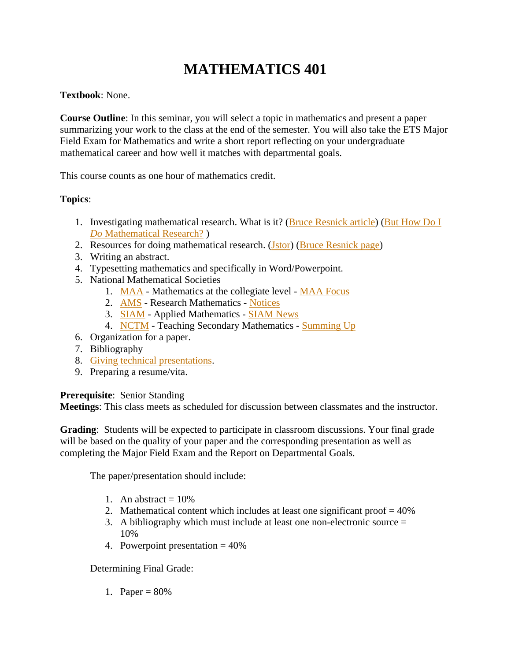# **MATHEMATICS 401**

#### **Textbook**: None.

**Course Outline**: In this seminar, you will select a topic in mathematics and present a paper summarizing your work to the class at the end of the semester. You will also take the ETS Major Field Exam for Mathematics and write a short report reflecting on your undergraduate mathematical career and how well it matches with departmental goals.

This course counts as one hour of mathematics credit.

#### **Topics**:

- 1. Investigating mathematical research. What is it? [\(Bruce Resnick article\)](file://MRWEB/WEB/CAMPUS/USERS/TRAVIS/syllabi/401/reznick.Investigating%20Mathematical%20Research.pdf) [\(But How Do I](http://www.maa.org/features/112404howdoido.html)  *Do* [Mathematical Research?](http://www.maa.org/features/112404howdoido.html) )
- 2. Resources for doing mathematical research. [\(Jstor\)](http://www.jstor.org/) [\(Bruce Resnick page\)](http://www.math.uiuc.edu/~reznick/rfr.html)
- 3. Writing an abstract.
- 4. Typesetting mathematics and specifically in Word/Powerpoint.
- 5. National Mathematical Societies
	- 1. [MAA](http://www.maa.org/) Mathematics at the collegiate level [MAA Focus](http://www.maa.org/pubs/focus.html)
	- 2. [AMS](http://www.ams.org/) Research Mathematics [Notices](http://www.ams.org/notices)
	- 3. [SIAM](http://siam.org/) Applied Mathematics [SIAM News](http://siam.org/news/)
	- 4. [NCTM](http://www.nctm.org/) Teaching Secondary Mathematics [Summing Up](http://www.nctm.org/news/summingup.aspx)
- 6. Organization for a paper.
- 7. Bibliography
- 8. [Giving technical presentations.](http://techspeaking.denison.edu/Technically_Speaking/Home.html)
- 9. Preparing a resume/vita.

#### **Prerequisite**: Senior Standing

**Meetings**: This class meets as scheduled for discussion between classmates and the instructor.

**Grading**: Students will be expected to participate in classroom discussions. Your final grade will be based on the quality of your paper and the corresponding presentation as well as completing the Major Field Exam and the Report on Departmental Goals.

The paper/presentation should include:

- 1. An abstract  $= 10\%$
- 2. Mathematical content which includes at least one significant proof  $= 40\%$
- 3. A bibliography which must include at least one non-electronic source = 10%
- 4. Powerpoint presentation = 40%

Determining Final Grade:

1. Paper =  $80%$